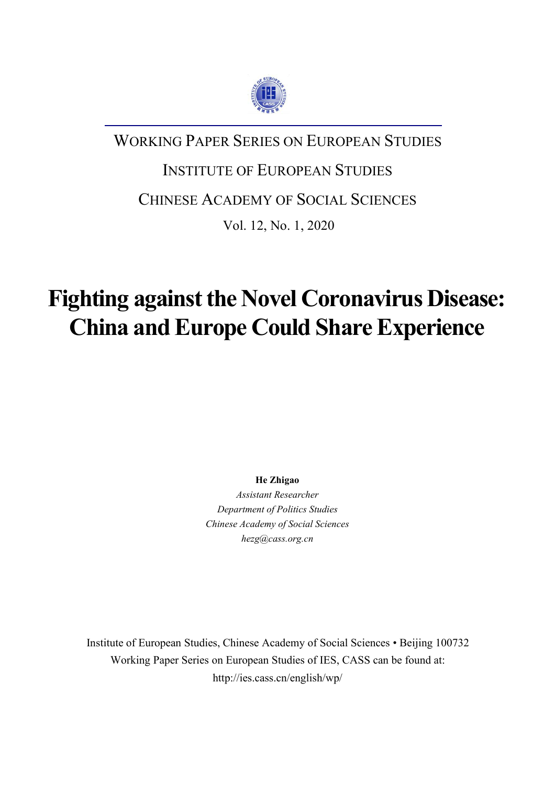

## WORKING PAPER SERIES ON EUROPEAN STUDIES

## INSTITUTE OF EUROPEAN STUDIES

## CHINESE ACADEMY OF SOCIAL SCIENCES

Vol. 12, No. 1, 2020

# **Fighting against the Novel Coronavirus Disease: China** and Europe Could Share Experience

**He Zhigao**

*Assistant Researcher Department of Politics Studies Chinese Academy of Social Sciences hezg@cass.org.cn*

Institute of European Studies, Chinese Academy of Social Sciences • Beijing 100732 Working Paper Series on European Studies of IES, CASS can be found at: http://ies.cass.cn/english/wp/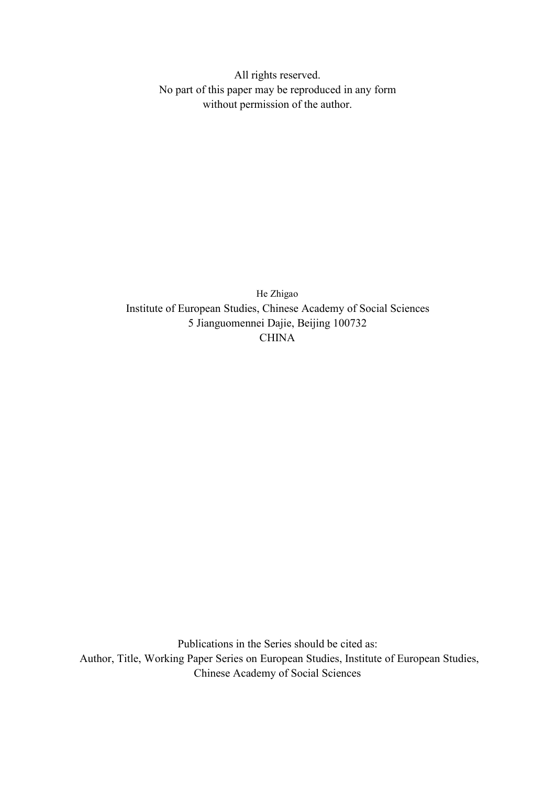All rights reserved. No part of this paper may be reproduced in any form without permission of the author.

He Zhigao Institute of European Studies, Chinese Academy of Social Sciences 5 Jianguomennei Dajie, Beijing 100732 **CHINA** 

Publications in the Series should be cited as: Author, Title, Working Paper Series on European Studies, Institute of European Studies, Chinese Academy of Social Sciences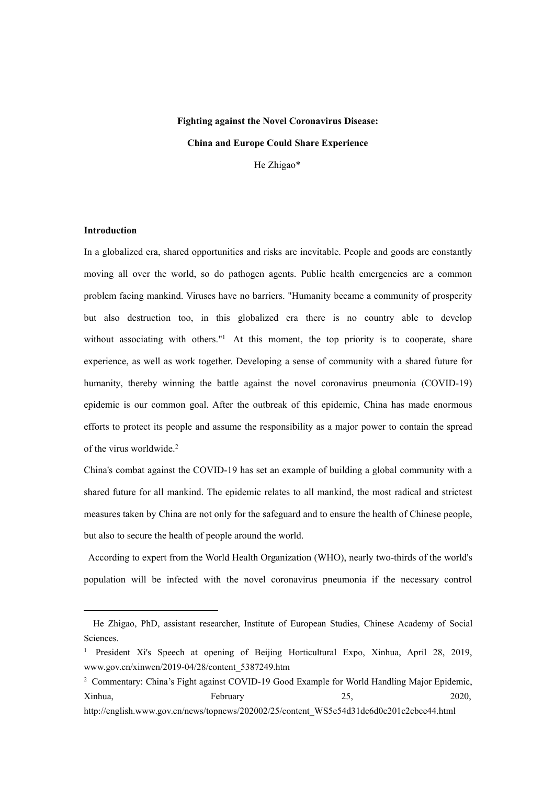## **Fighting against the Novel Coronavirus Disease: China and Europe Could Share Experience** He Zhigao\*

#### **Introduction**

In a globalized era, shared opportunities and risks are inevitable. People and goods are constantly moving all over the world, so do pathogen agents. Public health emergencies are a common problem facing mankind. Viruses have no barriers. "Humanity became a community of prosperity but also destruction too, in this globalized era there is no country able to develop without associating with others."<sup>[1](#page-2-0)</sup> At this moment, the top priority is to cooperate, share experience, as well as work together. Developing a sense of community with a shared future for humanity, thereby winning the battle against the novel coronavirus pneumonia (COVID-19) epidemic is our common goal. After the outbreak of this epidemic, China has made enormous efforts to protect its people and assume the responsibility as a major power to contain the spread of the virus worldwide.[2](#page-2-1)

China's combat against the COVID-19 has set an example of building a global community with a shared future for all mankind. The epidemic relates to all mankind, the most radical and strictest measures taken by China are not only for the safeguard and to ensure the health of Chinese people, but also to secure the health of people around the world.

According to expert from the World Health Organization (WHO), nearly two-thirds of the world's population will be infected with the novel coronavirus pneumonia if the necessary control

<span id="page-2-0"></span>He Zhigao, PhD, assistant researcher, Institute of European Studies, Chinese Academy of Social Sciences.

<sup>1</sup> President Xi's Speech at opening of Beijing Horticultural Expo, Xinhua, April 28, 2019, www.gov.cn/xinwen/2019-04/28/content\_5387249.htm

<span id="page-2-1"></span><sup>&</sup>lt;sup>2</sup> Commentary: China's Fight against COVID-19 Good Example for World Handling Major Epidemic, Xinhua, Rebruary 19, 25, 2020,

http://english.www.gov.cn/news/topnews/202002/25/content\_WS5e54d31dc6d0c201c2cbce44.html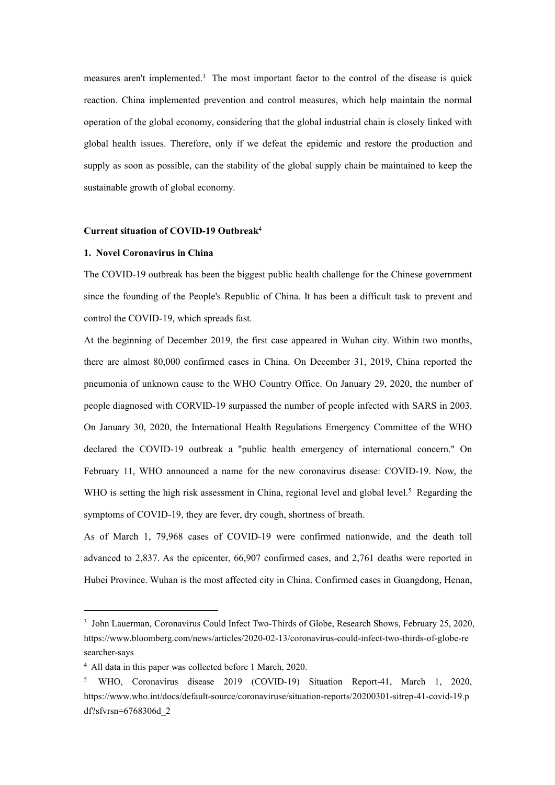measures aren't implemented.[3](#page-3-0) The most important factor to the control of the disease is quick reaction. China implemented prevention and control measures, which help maintain the normal operation of the global economy, considering that the global industrial chain is closely linked with global health issues. Therefore, only if we defeat the epidemic and restore the production and supply as soon as possible, can the stability of the global supply chain be maintained to keep the sustainable growth of global economy.

#### **Current situation of COVID-19 Outbreak** [4](#page-3-1)

#### **1. Novel Coronavirus in China**

The COVID-19 outbreak has been the biggest public health challenge for the Chinese government since the founding of the People's Republic of China. It has been a difficult task to prevent and control the COVID-19, which spreads fast.

At the beginning of December 2019, the first case appeared in Wuhan city. Within two months, there are almost 80,000 confirmed cases in China. On December 31, 2019, China reported the pneumonia of unknown cause to the WHO Country Office. On January 29, 2020, the number of people diagnosed with CORVID-19 surpassed the number of people infected with SARS in2003. On January 30, 2020, the International Health Regulations Emergency Committee of the WHO declared the COVID-19 outbreak a "public health emergency of international concern." On February 11, WHO announced a name for the new coronavirus disease: COVID-19. Now, the WHO is setting the high risk assessment in China, regional level and global level.<sup>[5](#page-3-2)</sup> Regarding the symptoms of COVID-19, they are fever, dry cough, shortness of breath.

As of March 1, 79,968 cases of COVID-19 were confirmed nationwide, and the death toll advanced to 2,837. As the epicenter, 66,907 confirmed cases, and 2,761 deaths were reported in Hubei Province. Wuhan is the most affected city in China. Confirmed cases in Guangdong, Henan,

<span id="page-3-0"></span><sup>&</sup>lt;sup>3</sup> John Lauerman, Coronavirus Could Infect Two-Thirds of Globe, Research Shows, February 25, 2020, https://www.bloomberg.com/news/articles/2020-02-13/coronavirus-could-infect-two-thirds-of-globe-re searcher-says

<span id="page-3-1"></span><sup>4</sup> All data in this paper was collected before 1 March, 2020.

<span id="page-3-2"></span><sup>5</sup> WHO, Coronavirus disease 2019 (COVID-19) Situation Report-41, March 1, 2020, https://www.who.int/docs/default-source/coronaviruse/situation-reports/20200301-sitrep-41-covid-19.p df?sfvrsn=6768306d\_2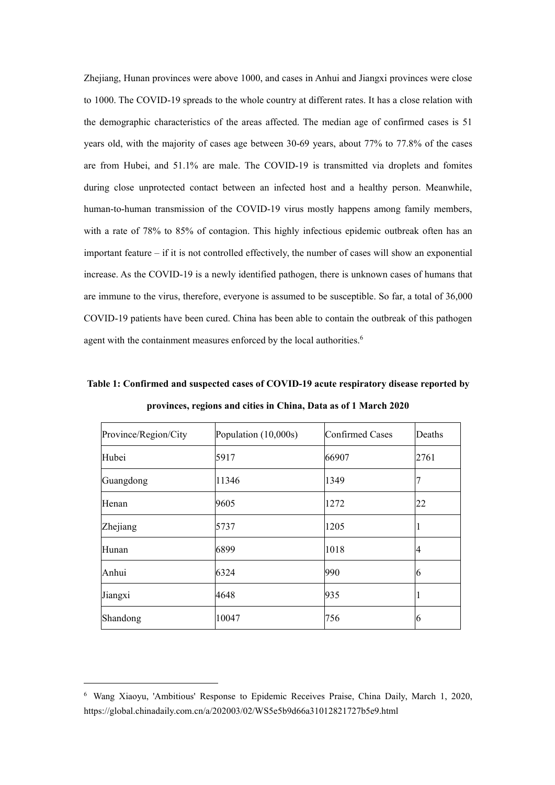Zhejiang, Hunan provinces were above 1000, and cases in Anhui and Jiangxi provinces were close to 1000. The COVID-19 spreads to the whole country at different rates. It has a close relation with the demographic characteristics of the areas affected. The median age of confirmed cases is 51 years old, with the majority of cases age between 30-69 years, about 77% to 77.8% of the cases are from Hubei, and 51.1% are male. The COVID-19 is transmitted via droplets and fomites during close unprotected contact between an infected host and a healthy person. Meanwhile, human-to-human transmission of the COVID-19 virus mostly happens among family members, with a rate of 78% to 85% of contagion. This highly infectious epidemic outbreak often has an important feature  $-$  if it is not controlled effectively, the number of cases will show an exponential increase. As the COVID-19 is a newly identified pathogen, there is unknown cases of humans that are immune to the virus, therefore, everyone is assumed to be susceptible. So far, a total of 36,000 COVID-19 patients have been cured. China has been able to contain the outbreak of this pathogen agent with the containment measures enforced by the local authorities.<sup>[6](#page-4-0)</sup>

**Table 1: Confirmed and suspected cases ofCOVID-19 acute respiratory disease reported by provinces, regions and cities in China, Data as of1 March 2020**

| Province/Region/City | Population $(10,000s)$ | Confirmed Cases | Deaths |
|----------------------|------------------------|-----------------|--------|
| Hubei                | 5917                   | 66907           | 2761   |
| Guangdong            | 11346                  | 1349            |        |
| Henan                | 9605                   | 1272            | 22     |
| Zhejiang             | 5737                   | 1205            |        |
| Hunan                | 6899                   | 1018            | 4      |
| Anhui                | 6324                   | 990             | 6      |
| Jiangxi              | 4648                   | 935             |        |
| Shandong             | 10047                  | 756             | 16     |

<span id="page-4-0"></span><sup>6</sup> Wang Xiaoyu, 'Ambitious' Response to Epidemic Receives Praise, China Daily, March 1, 2020, https://global.chinadaily.com.cn/a/202003/02/WS5e5b9d66a31012821727b5e9.html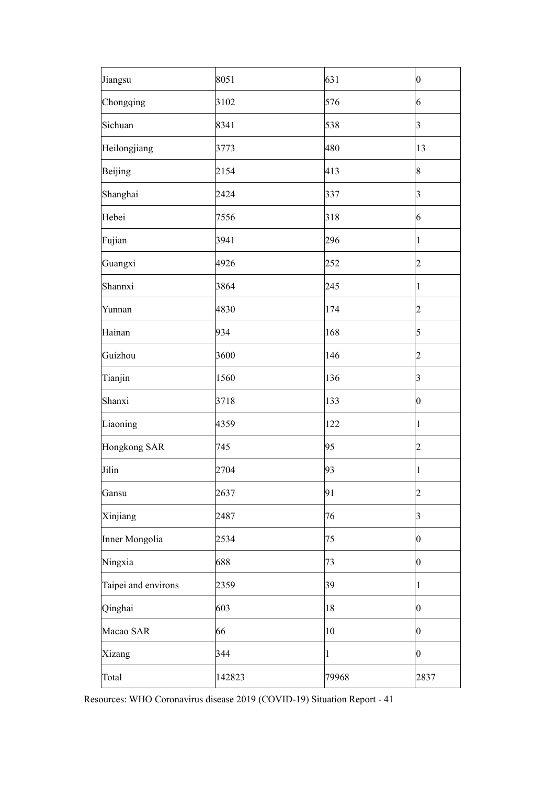| Jiangsu             | 8051   | 631          | $\overline{0}$          |
|---------------------|--------|--------------|-------------------------|
| Chongqing           | 3102   | 576          | 6                       |
| Sichuan             | 8341   | 538          | $\overline{\mathbf{3}}$ |
| Heilongjiang        | 3773   | 480          | 13                      |
| Beijing             | 2154   | 413          | 8                       |
| Shanghai            | 2424   | 337          | 3                       |
| Hebei               | 7556   | 318          | 6                       |
| Fujian              | 3941   | 296          | 1                       |
| Guangxi             | 4926   | 252          | 2                       |
| Shannxi             | 3864   | 245          | 1                       |
| Yunnan              | 4830   | 174          | $\overline{c}$          |
| Hainan              | 934    | 168          | 5                       |
| Guizhou             | 3600   | 146          | $\overline{c}$          |
| Tianjin             | 1560   | 136          | 3                       |
| Shanxi              | 3718   | 133          | $\overline{0}$          |
| Liaoning            | 4359   | 122          | 1                       |
| Hongkong SAR        | 745    | 95           | $\overline{c}$          |
| Jilin               | 2704   | 93           | 1                       |
| Gansu               | 2637   | 91           | $\overline{\mathbf{c}}$ |
| Xinjiang            | 2487   | 76           | 3                       |
| Inner Mongolia      | 2534   | 75           | $\overline{0}$          |
| Ningxia             | 688    | 73           | $\overline{0}$          |
| Taipei and environs | 2359   | 39           | 1                       |
| Qinghai             | 603    | 18           | $\overline{0}$          |
| Macao SAR           | 66     | 10           | $\overline{0}$          |
| Xizang              | 344    | $\mathbf{1}$ | 0                       |
| Total               | 142823 | 79968        | 2837                    |

Resources: WHO Coronavirus disease 2019 (COVID-19) Situation Report - 41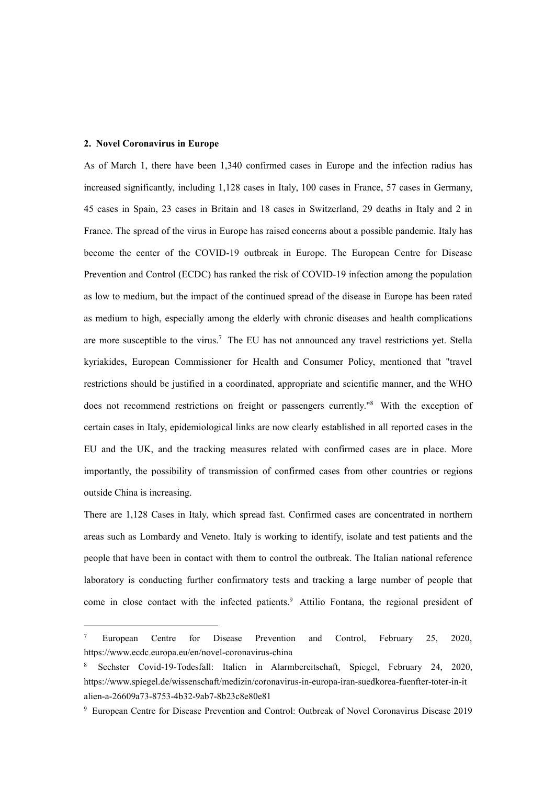#### **2. Novel Coronavirus in Europe**

As of March 1, there have been 1,340 confirmed cases in Europe and the infection radius has increased significantly, including 1,128 cases in Italy, 100 cases in France, 57 cases in Germany, 45 cases in Spain, 23 cases in Britain and 18 cases in Switzerland, 29 deaths in Italy and 2 in France. The spread of the virus in Europe has raised concerns about a possible pandemic. Italy has become the center of the COVID-19 outbreak in Europe. The European Centre for Disease Prevention and Control (ECDC) has ranked the risk of COVID-19 infection among the population as low to medium, but the impact of the continued spread of the disease in Europe has been rated as medium to high, especially among the elderly with chronic diseases and health complications are more susceptible to the virus.<sup>[7](#page-6-0)</sup> The EU has not announced any travel restrictions yet. Stella kyriakides, European Commissioner for Health and Consumer Policy, mentioned that "travel restrictions should be justified in a coordinated, appropriate and scientific manner, and the WHO does not recommend restrictions on freight or passengers currently." [8](#page-6-1) With the exception of certain cases in Italy, epidemiological links are now clearly established in all reported cases in the EU and the UK, and the tracking measures related with confirmed cases are in place. More importantly, the possibility of transmission of confirmed cases from other countries or regions outside China is increasing.

There are 1,128 Cases in Italy, which spread fast. Confirmed cases are concentrated in northern areas such as Lombardy and Veneto. Italy is working to identify,isolate and test patients and the people that have been in contact with them to control the outbreak. The Italian national reference laboratory is conducting further confirmatory tests and tracking a large number of people that come in close contact with the infected patients.<sup>[9](#page-6-2)</sup> Attilio Fontana, the regional president of

<span id="page-6-0"></span><sup>&</sup>lt;sup>7</sup> European Centre for Disease Prevention and Control, February 25, 2020, https://www.ecdc.europa.eu/en/novel-coronavirus-china

<span id="page-6-1"></span><sup>8</sup> Sechster Covid-19-Todesfall: Italien in Alarmbereitschaft, Spiegel, February 24, 2020, https://www.spiegel.de/wissenschaft/medizin/coronavirus-in-europa-iran-suedkorea-fuenfter-toter-in-it alien-a-26609a73-8753-4b32-9ab7-8b23c8e80e81

<span id="page-6-2"></span><sup>9</sup> European Centre for Disease Prevention and Control: Outbreak of Novel Coronavirus Disease 2019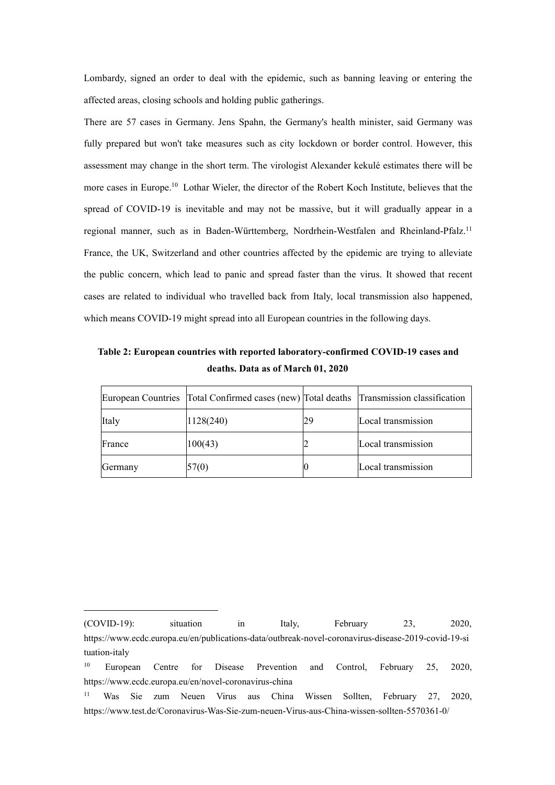Lombardy, signed an order to deal with the epidemic, such as banning leaving or entering the affected areas, closing schools and holding public gatherings.

There are 57 cases in Germany. Jens Spahn, the Germany's health minister, said Germany was fully prepared but won't take measures such as city lockdown or border control. However, this assessment may change in the short term. The virologist Alexander kekulé estimates there will be more cases in Europe.[10](#page-7-0) Lothar Wieler, the director of the Robert Koch Institute, believes that the spread of COVID-19 is inevitable and may not be massive, but it will gradually appear in a regional manner, such as in Baden-Württemberg, Nordrhein-Westfalen and Rheinland-Pfalz.[11](#page-7-1) France, the UK, Switzerland and other countries affected by the epidemic are trying to alleviate the public concern, which lead to panic and spread faster than the virus. It showed that recent cases are related to individual who travelled back from Italy, local transmission also happened, which means COVID-19 might spread into all European countries in the following days.

**Table 2: European countries with reported laboratory-confirmed COVID-19 cases and deaths. Data as of March 01, 2020**

|         | European Countries Total Confirmed cases (new) Total deaths Transmission classification |    |                    |
|---------|-----------------------------------------------------------------------------------------|----|--------------------|
| Italy   | 1128(240)                                                                               | 29 | Local transmission |
| France  | 100(43)                                                                                 |    | Local transmission |
| Germany | 57(0)                                                                                   |    | Local transmission |

<sup>(</sup>COVID-19): situation in Italy, February 23, 2020,

https://www.ecdc.europa.eu/en/publications-data/outbreak-novel-coronavirus-disease-2019-covid-19-si tuation-italy

<span id="page-7-0"></span><sup>&</sup>lt;sup>10</sup> European Centre for Disease Prevention and Control, February 25, 2020, https://www.ecdc.europa.eu/en/novel-coronavirus-china

<span id="page-7-1"></span><sup>11</sup> Was Sie zum Neuen Virus aus China Wissen Sollten, February 27, 2020, https://www.test.de/Coronavirus-Was-Sie-zum-neuen-Virus-aus-China-wissen-sollten-5570361-0/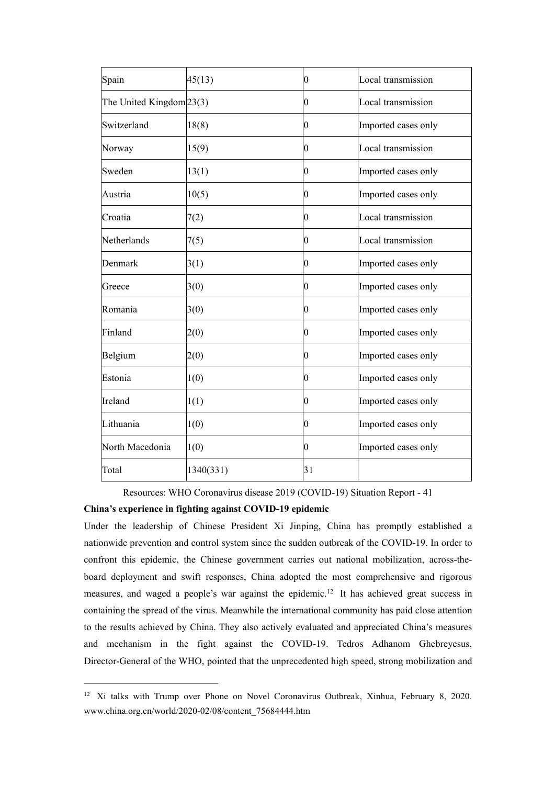| Spain                        | 45(13)    | $\vert 0 \vert$ | Local transmission  |
|------------------------------|-----------|-----------------|---------------------|
| The United Kingdom $ 23(3) $ |           | $\vert 0 \vert$ | Local transmission  |
| Switzerland                  | 18(8)     | $\vert 0 \vert$ | Imported cases only |
| Norway                       | 15(9)     | $\vert 0 \vert$ | Local transmission  |
| Sweden                       | 13(1)     | $\vert 0 \vert$ | Imported cases only |
| Austria                      | 10(5)     | 0               | Imported cases only |
| Croatia                      | 7(2)      | 0               | Local transmission  |
| Netherlands                  | 7(5)      | $\vert 0 \vert$ | Local transmission  |
| Denmark                      | 3(1)      | $\vert 0 \vert$ | Imported cases only |
| Greece                       | 3(0)      | $\vert 0 \vert$ | Imported cases only |
| Romania                      | 3(0)      | $\vert 0 \vert$ | Imported cases only |
| Finland                      | 2(0)      | $\vert 0 \vert$ | Imported cases only |
| Belgium                      | 2(0)      | $ 0\rangle$     | Imported cases only |
| Estonia                      | 1(0)      | $\vert 0 \vert$ | Imported cases only |
| Ireland                      | 1(1)      | $\vert 0 \vert$ | Imported cases only |
| Lithuania                    | 1(0)      | $\vert 0 \vert$ | Imported cases only |
| North Macedonia              | 1(0)      | 0               | Imported cases only |
| Total                        | 1340(331) | 31              |                     |

Resources: WHO Coronavirus disease 2019 (COVID-19) Situation Report - 41

#### **China's experience in fighting against COVID-19 epidemic**

Under the leadership of Chinese President Xi Jinping, China has promptly established a nationwide prevention and control system since the sudden outbreak of the COVID-19. In order to confront this epidemic, the Chinese government carries out national mobilization, across-the board deployment and swift responses, China adopted the most comprehensive and rigorous measures, and waged a people's war against the epidemic.[12](#page-8-0) It has achieved great success in containing the spread of the virus. Meanwhile the international community has paid close attention to the results achieved by China. They also actively evaluated and appreciated China's measures and mechanism in the fight against the COVID-19. Tedros Adhanom Ghebreyesus, Director-General of the WHO, pointed that the unprecedented high speed, strong mobilization and

<span id="page-8-0"></span><sup>&</sup>lt;sup>12</sup> Xi talks with Trump over Phone on Novel Coronavirus Outbreak, Xinhua, February 8, 2020. www.china.org.cn/world/2020-02/08/content\_75684444.htm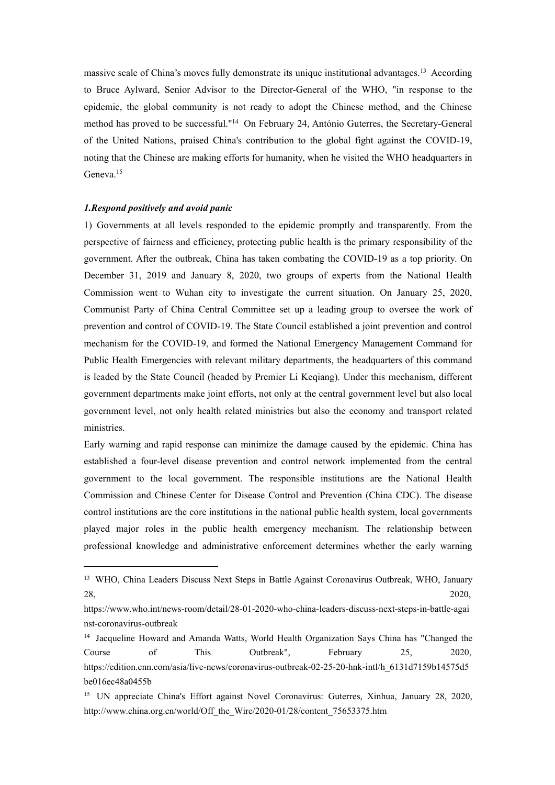massive scale of China's moves fully demonstrate its unique institutional advantages.<sup>[13](#page-9-0)</sup> According to Bruce Aylward, Senior Advisor to the Director-General of the WHO, "in response to the epidemic, the global community is not ready to adopt the Chinese method, and the Chinese method has proved to be successful." [14](#page-9-1) On February 24, António Guterres, the Secretary-General of the United Nations, praised China's contribution to the global fight against the COVID-19, noting that the Chinese are making efforts for humanity, when he visited the WHO headquarters in Geneva.<sup>[15](#page-9-2)</sup>

#### *1.Respond positively and avoid panic*

1) Governments at all levels responded to the epidemic promptly and transparently. From the perspective of fairness and efficiency, protecting public health is the primary responsibility of the government. After the outbreak, China has taken combating the COVID-19 as a top priority. On December 31, 2019 and January 8, 2020, two groups of experts from the National Health Commission went to Wuhan city to investigate the current situation. On January 25, 2020, Communist Party of China Central Committee set up a leading group to oversee the work of prevention and control of COVID-19. The State Council established a joint prevention and control mechanism for the COVID-19, and formed the National Emergency Management Command for Public Health Emergencies with relevant military departments, the headquarters of this command is leaded by the State Council (headed by Premier Li Keqiang). Under this mechanism, different government departments make joint efforts, not only at the central government level but also local government level, not only health related ministries but also the economy and transport related ministries.

Early warning and rapid response can minimize the damage caused by the epidemic. China has established a four-level disease prevention and control network implemented from the central government to the local government. The responsible institutions are the National Health Commission and Chinese Center for Disease Control and Prevention (China CDC). The disease control institutions are the core institutions in the national public health system, local governments played major roles in the public health emergency mechanism. The relationship between professional knowledge and administrative enforcement determines whether the early warning

<span id="page-9-0"></span><sup>&</sup>lt;sup>13</sup> WHO, China Leaders Discuss Next Steps in Battle Against Coronavirus Outbreak, WHO, January  $28,$  2020,

https://www.who.int/news-room/detail/28-01-2020-who-china-leaders-discuss-next-steps-in-battle-agai nst-coronavirus-outbreak

<span id="page-9-1"></span><sup>&</sup>lt;sup>14</sup> Jacqueline Howard and Amanda Watts, World Health Organization Says China has "Changed the Course of This Outbreak", February 25, 2020, https://edition.cnn.com/asia/live-news/coronavirus-outbreak-02-25-20-hnk-intl/h\_6131d7159b14575d5 be016ec48a0455b

<span id="page-9-2"></span><sup>&</sup>lt;sup>15</sup> UN appreciate China's Effort against Novel Coronavirus: Guterres, Xinhua, January 28, 2020, http://www.china.org.cn/world/Off\_the\_Wire/2020-01/28/content\_75653375.htm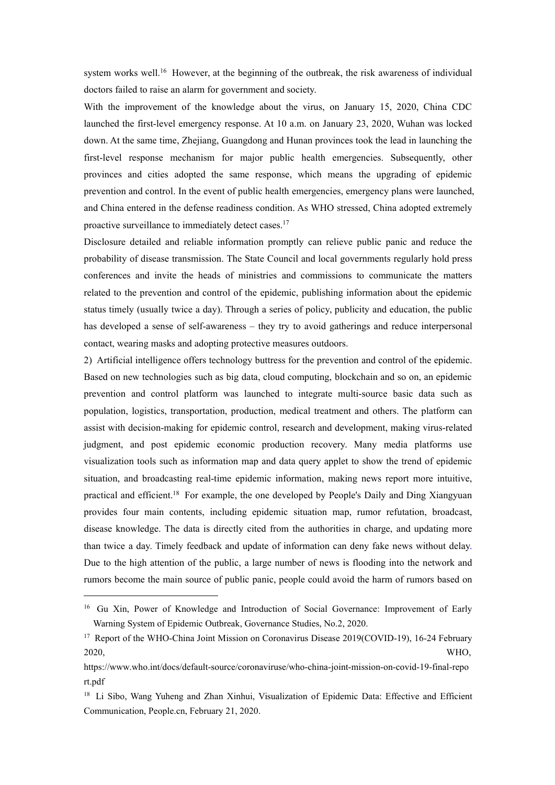system works well.<sup>[16](#page-10-0)</sup> However, at the beginning of the outbreak, the risk awareness of individual doctors failed to raise an alarm for government and society.

With the improvement of the knowledge about the virus, on January 15, 2020, China CDC launched the first-level emergency response. At 10 a.m. on January 23, 2020, Wuhan was locked down. At the same time, Zhejiang, Guangdong and Hunan provinces took the lead in launching the first-level response mechanism for major public health emergencies. Subsequently, other provinces and cities adopted the same response, which means the upgrading of epidemic prevention and control. In the event of public health emergencies, emergency plans were launched, and China entered in the defense readiness condition. As WHO stressed, China adopted extremely proactive surveillance to immediately detect cases.[17](#page-10-1)

Disclosure detailed and reliable information promptly can relieve public panic and reduce the probability of disease transmission. The State Council and local governments regularly hold press conferences and invite the heads of ministries and commissions to communicate the matters related to the prevention and control of the epidemic, publishing information about the epidemic status timely (usually twice a day). Through a series of policy, publicity and education, the public has developed a sense of self-awareness – they try to avoid gatherings and reduce interpersonal contact, wearing masks and adopting protective measures outdoors.

2) Artificial intelligence offers technology buttress for the prevention and control of the epidemic. Based on new technologies such as big data, cloud computing, blockchain and so on, an epidemic prevention and control platform was launched to integrate multi-source basic data such as population, logistics, transportation, production, medical treatment and others. The platform can assist with decision-making for epidemic control, research and development, making virus-related judgment, and post epidemic economic production recovery. Many media platforms use visualization tools such as information map and data query applet to show the trend of epidemic situation, and broadcasting real-time epidemic information, making news report more intuitive, practical and efficient.[18](#page-10-2) For example, the one developed by People's Daily and Ding Xiangyuan provides four main contents, including epidemic situation map, rumor refutation, broadcast, disease knowledge. The data is directly cited from the authorities in charge, and updating more than twice a day. Timely feedback and update of information can deny fake news without delay. Due to the high attention of the public, a large number of news is flooding into the network and rumors become the main source of public panic, people could avoid the harm of rumors based on

<span id="page-10-0"></span><sup>&</sup>lt;sup>16</sup> Gu Xin, Power of Knowledge and Introduction of Social Governance: Improvement of Early Warning System of Epidemic Outbreak, Governance Studies, No.2, 2020.

<span id="page-10-1"></span><sup>&</sup>lt;sup>17</sup> Report of the WHO-China Joint Mission on Coronavirus Disease 2019(COVID-19), 16-24 February 2020, WHO,

https://www.who.int/docs/default-source/coronaviruse/who-china-joint-mission-on-covid-19-final-repo rt.pdf

<span id="page-10-2"></span><sup>&</sup>lt;sup>18</sup> Li Sibo, Wang Yuheng and Zhan Xinhui, Visualization of Epidemic Data: Effective and Efficient Communication, People.cn, February 21, 2020.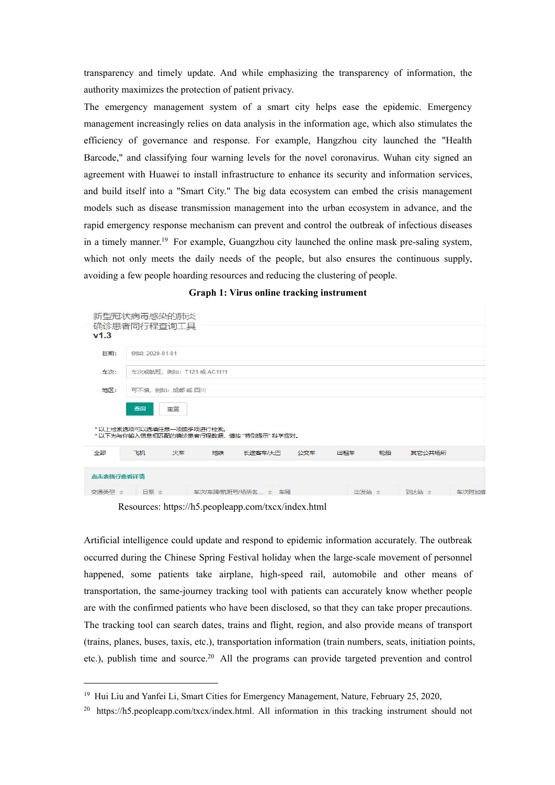transparency and timely update. And while emphasizing the transparency of information, the authority maximizes the protection of patient privacy.

The emergency management system of a smart city helps ease the epidemic. Emergency management increasingly relies on data analysis in the information age, which also stimulates the efficiency of governance and response. For example, Hangzhou city launched the "Health Barcode," and classifying four warning levels for the novel coronavirus. Wuhan city signed an agreement with Huawei to install infrastructure to enhance its security and information services, and build itself into a "Smart City." The big data ecosystem can embed the crisis management models such as disease transmission management into the urban ecosystem in advance, and the rapid emergency response mechanism can prevent and control the outbreak of infectious diseases in a timely manner.[19](#page-11-0) For example, Guangzhou city launched the online mask pre-saling system, which not only meets the daily needs of the people, but also ensures the continuous supply, avoiding a few people hoarding resources and reducing the clustering of people.

| V <sub>1.3</sub> |                                      |                                            |    |         |     |     |    |        |  |
|------------------|--------------------------------------|--------------------------------------------|----|---------|-----|-----|----|--------|--|
| 日期:              |                                      | 例如: 2020-01-01<br>车次或航班, 例如: T123 或 AC1111 |    |         |     |     |    |        |  |
| 车次:              |                                      |                                            |    |         |     |     |    |        |  |
| 地区:              |                                      | 可不填,例如:成都或四川                               |    |         |     |     |    |        |  |
|                  | 香谕                                   | 重置                                         |    |         |     |     |    |        |  |
|                  | *以上检索选项可以选填任意一项或多项讲行检索。              |                                            |    |         |     |     |    |        |  |
|                  | *以下为与你输入信息相匹配的确诊患者行程数据,请按"特别提示"科学应对。 |                                            |    |         |     |     |    |        |  |
| 全部               | 飞机                                   | 火车                                         | 地铁 | 长途客车/大巴 | 公交车 | 出租车 | 轮船 | 其它公共场所 |  |
| 点击表格行查看详情        |                                      |                                            |    |         |     |     |    |        |  |

#### **Graph 1: Virus online tracking instrument**

Resources: https://h5.peopleapp.com/txcx/index.html

Artificial intelligence could update and respond to epidemic information accurately. The outbreak occurred during the Chinese Spring Festival holiday when the large-scale movement of personnel happened, some patients take airplane, high-speed rail, automobile and other means of transportation, the same-journey tracking tool with patients can accurately know whether people are with the confirmed patients who have been disclosed, so that they can take proper precautions. The tracking tool can search dates, trains and flight, region, and also provide means of transport (trains, planes, buses, taxis, etc.), transportation information (train numbers, seats, initiation points, etc.), publish time and source.<sup>[20](#page-11-1)</sup> All the programs can provide targeted prevention and control

<span id="page-11-0"></span><sup>&</sup>lt;sup>19</sup> Hui Liu and Yanfei Li, Smart Cities for Emergency Management, Nature, February 25, 2020,

<span id="page-11-1"></span><sup>20</sup> https://h5.peopleapp.com/txcx/index.html. All information in this tracking instrument should not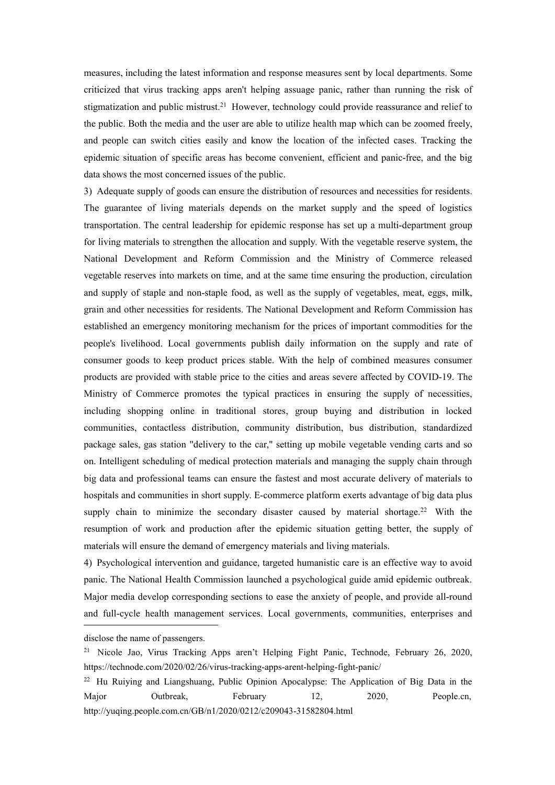measures, including the latest information and response measures sent by local departments. Some criticized that virus tracking apps aren't helping assuage panic, rather than running the risk of stigmatization and public mistrust.[21](#page-12-0) However, technology could provide reassurance and relief to the public. Both the media and the user are able to utilize health map which can be zoomed freely, and people can switch cities easily and know the location of the infected cases. Tracking the epidemic situation of specific areas has become convenient, efficient and panic-free, and the big data shows the most concerned issues of the public.

3) Adequate supply of goods can ensure the distribution of resources and necessities for residents. The guarantee of living materials depends on the market supply and the speed of logistics transportation. The central leadership for epidemic response has set up a multi-department group for living materials to strengthen the allocation and supply. With the vegetable reserve system, the National Development and Reform Commission and the Ministry of Commerce released vegetable reserves into markets on time, and at the same time ensuring the production, circulation and supply of staple and non-staple food, as well as the supply of vegetables, meat, eggs, milk, grain and other necessities for residents. The National Development and Reform Commission has established an emergency monitoring mechanism for the prices of important commodities for the people's livelihood. Local governments publish daily information on the supply and rate of consumer goods to keep product prices stable. With the help of combined measures consumer products are provided with stable price to the cities and areas severe affected by COVID-19. The Ministry of Commerce promotes the typical practices in ensuring the supply of necessities, including shopping online in traditional stores, group buying and distribution in locked communities, contactless distribution, community distribution, bus distribution, standardized package sales, gas station "delivery to the car," setting up mobile vegetable vending carts and so on. Intelligent scheduling of medical protection materials and managing the supply chain through big data and professional teams can ensure the fastest and most accurate delivery of materials to hospitals and communities in short supply. E-commerce platform exerts advantage of big data plus supply chain to minimize the secondary disaster caused by material shortage.<sup>[22](#page-12-1)</sup> With the resumption of work and production after the epidemic situation getting better, the supply of materials will ensure the demand of emergency materials and living materials.

4) Psychological intervention and guidance, targeted humanistic care isan effective way to avoid panic. The National Health Commission launched a psychological guide amid epidemic outbreak. Major media develop corresponding sections to ease the anxiety of people, and provide [all-round](https://fanyi.baidu.com/) and full-cycle health management services. Local governments, communities, enterprises and

disclose the name of passengers.

<span id="page-12-0"></span><sup>21</sup> Nicole Jao, Virus Tracking Apps aren't Helping Fight Panic, Technode, February 26, 2020, https://technode.com/2020/02/26/virus-tracking-apps-arent-helping-fight-panic/

<span id="page-12-1"></span><sup>22</sup> Hu Ruiying and Liangshuang, Public Opinion Apocalypse: The Application of Big Data in the Major Outbreak, February 12, 2020, People.cn, http://yuqing.people.com.cn/GB/n1/2020/0212/c209043-31582804.html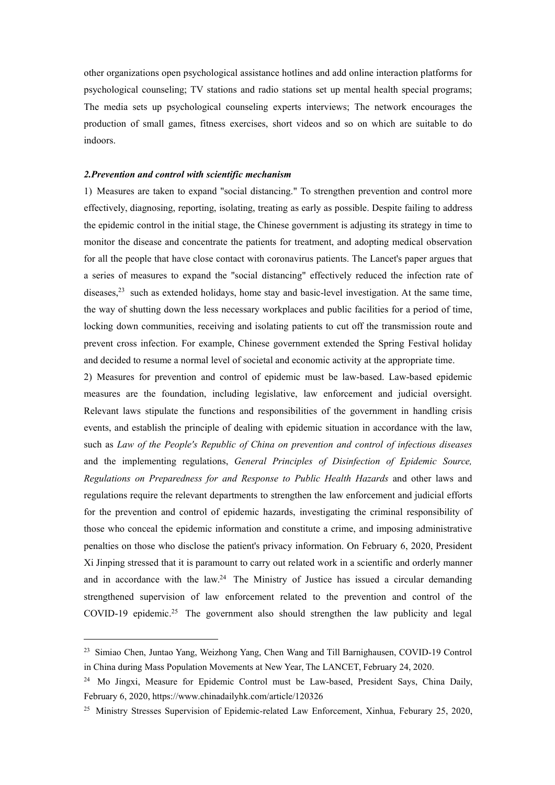other organizations open psychological assistance hotlines and add online interaction platforms for psychological counseling; TV stations and radio stations set up mental health special programs; The media sets up psychological counseling experts interviews; The network encourages the production of small games, fitness exercises, short videos and so on which are suitable to do indoors.

#### *2.Prevention and control with scientific mechanism*

1) Measures are taken to expand "social distancing." To strengthen prevention and control more effectively, diagnosing, reporting, isolating, treating as early as possible. Despite failing to address the epidemic controlin the initial stage, the Chinese government is adjusting its strategy in time to monitor the disease and concentrate the patients for treatment, and adopting medical observation for all the people that have close contactwith coronavirus patients. The Lancet's paper argues that a series of measures to expand the "social distancing" effectively reduced the infection rate of diseases,[23](#page-13-0) such as extended holidays, home stay and basic-level investigation. At the same time, the way of shutting down the less necessary workplaces and public facilities for a period of time, locking down communities, receiving and isolating patients to cut off the transmission route and prevent cross infection. For example, Chinese government extended the Spring Festival holiday and decided to resume a normal level of societal and economic activity at the appropriate time.

2) Measures for prevention and control of epidemic must be law-based. Law-based epidemic measures are the foundation, including legislative, law enforcement and judicial oversight. Relevant laws stipulate the functions and responsibilities of the government in handling crisis events, and establish the principle of dealing with epidemic situation in accordance with the law, such as *Law of the People's Republic of China on prevention and control of infectious diseases* and the implementing regulations, *General Principles of Disinfection of Epidemic Source, Regulations on Preparedness for and Response to Public Health Hazards* and other laws and regulations require the relevant departments to strengthen the law enforcement and judicial efforts for the prevention and control of epidemic hazards, investigating the criminal responsibility of those who conceal the epidemic information and constitute a crime, and imposing administrative penalties on those who disclose the patient's privacy information. On February 6, 2020, President Xi Jinping stressed that it is paramount to carry out related work in a scientific and orderly manner and in accordance with the law.<sup>[24](#page-13-1)</sup> The Ministry of Justice has issued a circular demanding strengthened supervision of law enforcement related to the prevention and control of the COVID-19 epidemic.<sup>[25](#page-13-2)</sup> The government also should strengthen the law publicity and legal

<span id="page-13-0"></span><sup>23</sup> Simiao Chen, Juntao Yang, Weizhong Yang, Chen Wang and Till Barnighausen, COVID-19 Control in China during Mass Population Movements at New Year, The LANCET, February 24, 2020.

<span id="page-13-1"></span><sup>24</sup> Mo Jingxi, Measure for Epidemic Control must be Law-based, President Says, China Daily, February 6, 2020, https://www.chinadailyhk.com/article/120326

<span id="page-13-2"></span><sup>&</sup>lt;sup>25</sup> Ministry Stresses Supervision of Epidemic-related Law Enforcement, Xinhua, Feburary 25, 2020,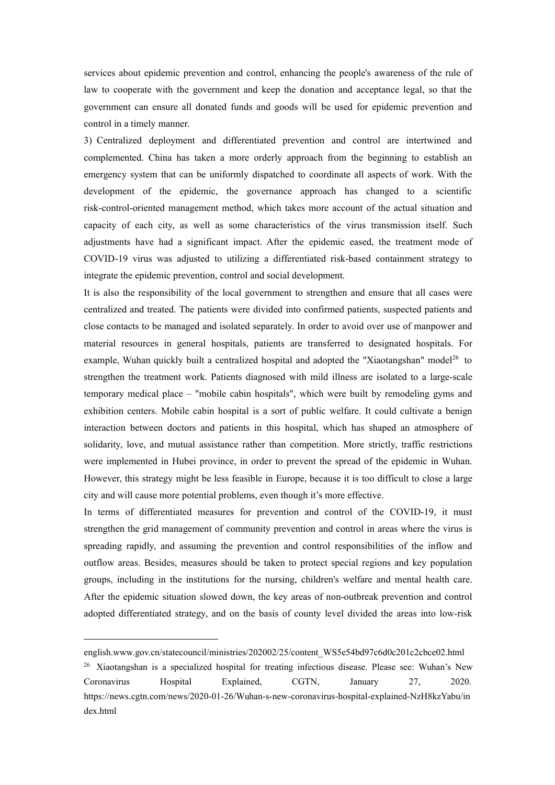services about epidemic prevention and control, enhancing the people's awareness of the rule of law to cooperate with the government and keep the donation and acceptance legal, so that the government can ensure all donated funds and goods will be used for epidemic prevention and control in a timely manner.

3) Centralized deployment and differentiated prevention and control are intertwined and complemented. China has taken a more orderly approach from the beginning to establish an emergency system that can be uniformly dispatched to coordinate all aspects of work. With the development of the epidemic, the governance approach has changed to a scientific risk-control-oriented management method, which takes more account of the actual situation and capacity of each city, as well as some characteristics of the virus transmission itself. Such adjustments have had a significant impact. After the epidemic eased, the treatment mode of COVID-19 virus was adjusted to utilizing a differentiated risk-based containment strategy to integrate the epidemic prevention, control and social development.

It is also the responsibility of the local government to strengthen and ensure that all cases were centralized and treated. The patients were divided into confirmed patients, suspected patients and close contacts to be managed and isolated separately. In order to avoid over use of manpower and material resources in general hospitals, patients are transferred to designated hospitals. For example, Wuhan quickly built a centralized hospital and adopted the "Xiaotangshan" model<sup>[26](#page-14-0)</sup> to strengthen the treatment work. Patients diagnosed with mild illness are isolated to a large-scale temporary medical place – "mobile cabin hospitals", which were built by remodeling gyms and exhibition centers. Mobile cabin hospital is a sort of public welfare. It could cultivate a benign interaction between doctors and patients in this hospital, which has shaped an atmosphere of solidarity, love, and mutual assistance rather than competition. More strictly, traffic restrictions were implemented in Hubei province, in order to prevent the spread of the epidemic in Wuhan. However, this strategy might be less feasible in Europe, because it is too difficult to close a large city and will cause more potential problems, even though it's more effective.

In terms of differentiated measures for prevention and control of the COVID-19, it must strengthen the grid management of community prevention and control in areas where the virus is spreading rapidly, and assuming the prevention and control responsibilities of the inflow and outflow areas. Besides, measures should be taken to protect special regions and key population groups, including in the institutions for the nursing, children's welfare and mental health care. After the epidemic situation slowed down, the key areas of non-outbreak prevention and control adopted differentiated strategy, and on the basis of county level divided the areas into low-risk

english.www.gov.cn/statecouncil/ministries/202002/25/content\_WS5e54bd97c6d0c201c2cbce02.html

<span id="page-14-0"></span><sup>26</sup> Xiaotangshan is a specialized hospital for treating infectious disease. Please see: Wuhan's New Coronavirus Hospital Explained, CGTN, January 27, 2020. https://news.cgtn.com/news/2020-01-26/Wuhan-s-new-coronavirus-hospital-explained-NzH8kzYabu/in dex.html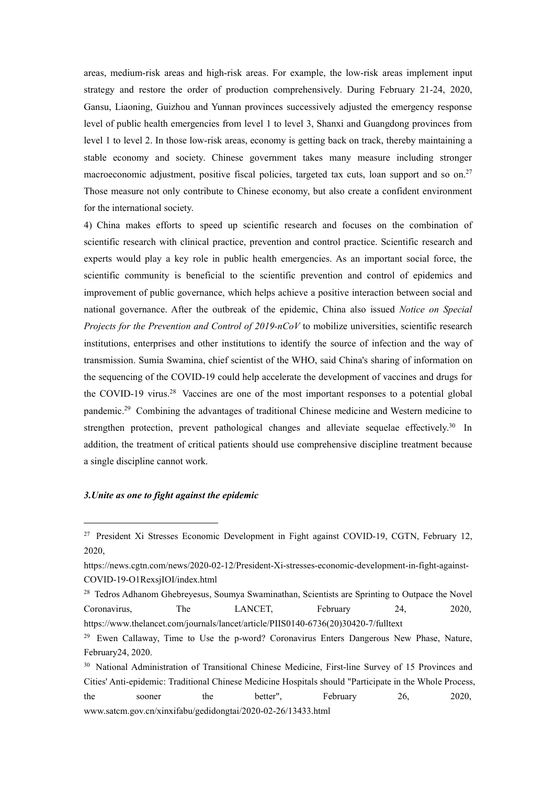areas, medium-risk areas and high-risk areas. For example, the low-risk areas implement input strategy and restore the order of production comprehensively. During February 21-24, 2020, Gansu, Liaoning, Guizhou and Yunnan provinces successively adjusted the emergency response level of public health emergencies from level 1 to level 3, Shanxi and Guangdong provinces from level 1 to level 2. In those low-risk areas, economy is getting back on track, thereby maintaining a stable economy and society. Chinese government takes many measure including stronger macroeconomic adjustment, positive fiscal policies, targeted tax cuts, loan support and so on.<sup>[27](#page-15-0)</sup> Those measure not only contribute to Chinese economy, but also create a confident environment for the international society.

4) China makes efforts to speed up scientific research and focuses on the combination of scientific research with clinical practice, prevention and control practice. Scientific research and experts would play a key role in public health emergencies. As an important social force, the scientific community is beneficial to the scientific prevention and control of epidemics and improvement of public governance, which helps achieve a positive interaction between social and national governance. After the outbreak of the epidemic, China also issued *Notice on Special Projects for the Prevention and Control of 2019-nCoV* to mobilize universities, scientific research institutions, enterprises and other institutions to identify the source of infection and the way of transmission. Sumia Swamina, chief scientist of the WHO, said China's sharing of information on the sequencing of the COVID-19 could help accelerate the development of vaccines and drugs for the COVID-19 virus.<sup>[28](#page-15-1)</sup> Vaccines are one of the most important responses to a potential global pandemic.[29](#page-15-2) Combining the advantages of traditional Chinese medicine and Western medicine to strengthen protection, prevent pathological changes and alleviate sequelae effectively.<sup>[30](#page-15-3)</sup> In addition, the treatment of critical patients should use comprehensive discipline treatment because a single discipline cannot work.

### *3.Unite as one to fight against the epidemic*

https://news.cgtn.com/news/2020-02-12/President-Xi-stresses-economic-development-in-fight-against- COVID-19-O1RexsjIOI/index.html

<span id="page-15-1"></span><sup>28</sup> Tedros Adhanom Ghebreyesus, Soumya Swaminathan, Scientists are Sprinting to Outpace the Novel Coronavirus, The LANCET, February 24, 2020, https://www.thelancet.com/journals/lancet/article/PIIS0140-6736(20)30420-7/fulltext

<span id="page-15-0"></span><sup>27</sup> President Xi Stresses Economic Development in Fight against COVID-19, CGTN, February 12, 2020,

<span id="page-15-2"></span><sup>29</sup> Ewen Callaway, Time to Use the p-word? Coronavirus Enters Dangerous New Phase, Nature, February24, 2020.

<span id="page-15-3"></span><sup>&</sup>lt;sup>30</sup> National Administration of Transitional Chinese Medicine, First-line Survey of 15 Provinces and Cities' Anti-epidemic: Traditional Chinese Medicine Hospitals should "Participate in the Whole Process, the sooner the better", February 26, 2020, www.satcm.gov.cn/xinxifabu/gedidongtai/2020-02-26/13433.html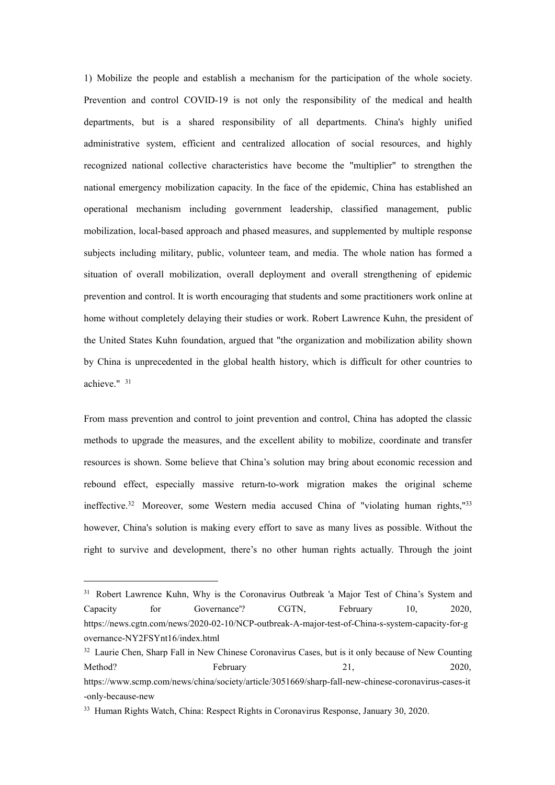1) Mobilize the people and establish a mechanism for the participation of the whole society. Prevention and control COVID-19 is not only the responsibility of the medical and health departments, but is a shared responsibility of all departments. China's highly unified administrative system, efficient and centralized allocation of social resources, and highly recognized national collective characteristics have become the "multiplier" to strengthen the national emergency mobilization capacity. In the face of the epidemic, China has established an operational mechanism including government leadership, classified management, public mobilization, local-based approach and phased measures, and supplemented by multiple response subjects including military, public, volunteer team, and media. The whole nation has formed a situation of overall mobilization, overall deployment and overall strengthening of epidemic prevention and control. Itis worth encouraging that students and some practitioners work online at home without completely delaying their studies or work. Robert Lawrence Kuhn, the president of the United States Kuhn foundation, argued that "the organization and mobilization ability shown by China is unprecedented in the global health history, which is difficult for other countries to achieve." [31](#page-16-0)

From mass prevention and control to joint prevention and control, China has adopted the classic methods to upgrade the measures, and the excellent ability to mobilize, coordinate and transfer resources is shown. Some believe that China's solution may bring about economic recession and rebound effect, especially massive return-to-work migration makes the original scheme ineffective.<sup>[32](#page-16-1)</sup> Moreover, some Western media accused China of "violating human rights,"<sup>[33](#page-16-2)</sup> however, China's solution is making every effort to save as many lives as possible. Without the right to survive and development, there's no other human rights actually. Through the joint

<span id="page-16-0"></span><sup>&</sup>lt;sup>31</sup> Robert Lawrence Kuhn, Why is the Coronavirus Outbreak 'a Major Test of China's System and Capacity for Governance'? CGTN, February 10, 2020, https://news.cgtn.com/news/2020-02-10/NCP-outbreak-A-major-test-of-China-s-system-capacity-for-g overnance-NY2FSYnt16/index.html

<span id="page-16-1"></span><sup>&</sup>lt;sup>32</sup> Laurie Chen, Sharp Fall in New Chinese Coronavirus Cases, but is it only because of New Counting Method? February 21, 2020, https://www.scmp.com/news/china/society/article/3051669/sharp-fall-new-chinese-coronavirus-cases-it -only-because-new

<span id="page-16-2"></span><sup>33</sup> Human Rights Watch, China: Respect Rights in Coronavirus Response, January 30, 2020.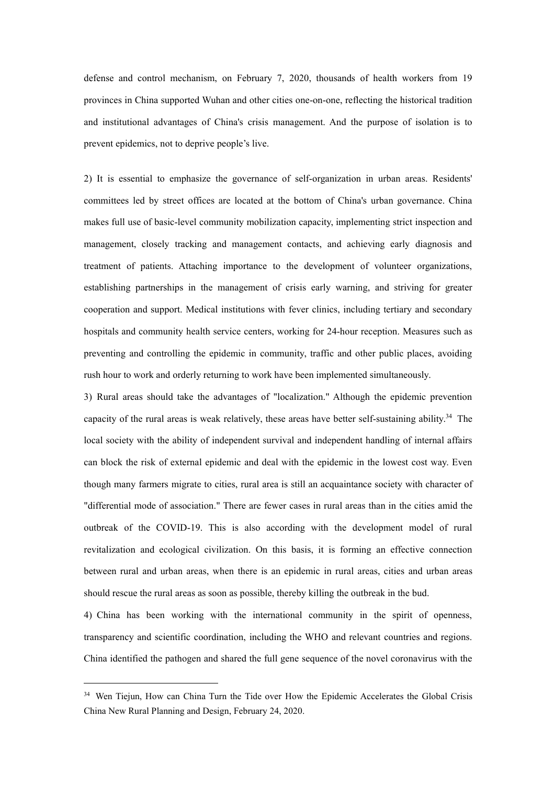defense and control mechanism, on February 7, 2020, thousands of health workers from 19 provinces in China supported Wuhan and other cities one-on-one, reflecting the historical tradition and institutional advantages of China's crisis management. And the purpose of isolation is to prevent epidemics, not to deprive people's live.

2) It is essential to emphasize the governance of self-organization in urban areas. Residents' committees led by street offices are located at the bottom of China's urban governance. China makes full use of basic-level community mobilization capacity, implementing strict inspection and management, closely tracking and management contacts, and achieving early diagnosis and treatment of patients. Attaching importance to the development of volunteer organizations, establishing partnerships in the management of crisis early warning, and striving for greater cooperation and support. Medical institutions with fever clinics, including tertiary and secondary hospitals and community health service centers, working for 24-hour reception. Measures such as preventing and controlling the epidemic in community, traffic and other public places, avoiding rush hour to work and orderly returning to work have been implemented simultaneously.

3) Rural areas should take the advantages of "localization." Although the epidemic prevention capacity of the rural areas is weak relatively, these areas have better self-sustaining ability.<sup>[34](#page-17-0)</sup> The local society with the ability of independent survival and independent handling of internal affairs can block the risk of external epidemic and deal with the epidemic in the lowest cost way. Even though many farmers migrate to cities, rural area is still an acquaintance society with character of "differential mode of association." There are fewer cases in rural areas than in the cities amid the outbreak of the COVID-19. This is also according with the development model of rural revitalization and ecological civilization. On this basis, it is forming an effective connection between rural and urban areas, when there is an epidemic in rural areas, cities and urban areas should rescue the rural areas as soon as possible, thereby killing the outbreak in the bud.

4) China has been working with the international community in the spirit of openness, transparency and scientific coordination, including the WHO and relevant countries and regions. China identified the pathogen and shared the full gene sequence of the novel coronavirus with the

<span id="page-17-0"></span><sup>&</sup>lt;sup>34</sup> Wen Tiejun, How can China Turn the Tide over How the Epidemic Accelerates the Global Crisis China New Rural Planning and Design, February 24, 2020.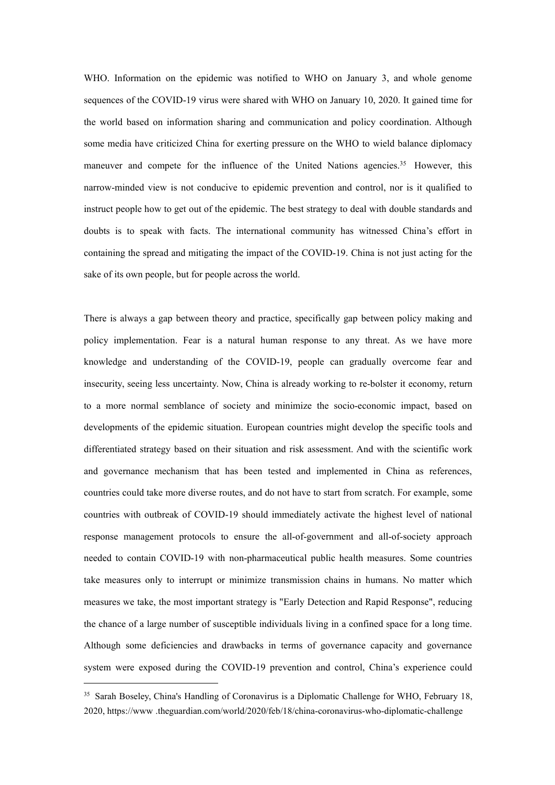WHO. Information on the epidemic was notified to WHO on January 3, and whole genome sequences ofthe COVID-19 virus were shared with WHO on January 10, 2020. It gained time for the world based on information sharing and communication and policy coordination. Although some media have criticized China for exerting pressure on the WHO to wield balance diplomacy maneuver and compete for the influence of the United Nations agencies.<sup>[35](#page-18-0)</sup> However, this narrow-minded view is not conducive to epidemic prevention and control, nor is it qualified to instruct people how to get out of the epidemic. The best strategy to deal with double standards and doubts is to speak with facts. The international community has witnessed China's effort in containing the spread and mitigating the impact of the COVID-19. China is not just acting for the sake of its own people, but for people across the world.

There is always a gap between theory and practice, specifically gap between policy making and policy implementation. Fear is a natural human response to any threat. As we have more knowledge and understanding of the COVID-19, people can gradually overcome fear and insecurity, seeing less uncertainty. Now, China is already working to re-bolster it economy, return to a more normal semblance of society and minimize the socio-economic impact, based on developments of the epidemic situation. European countries might develop the specific tools and differentiated strategy based on their situation and risk assessment. And with the scientific work and governance mechanism that has been tested and implemented in China as references, countries could take more diverse routes, and do not have to start from scratch. For example, some countries with outbreak of COVID-19 should immediately activate the highest level of national response management protocols to ensure the all-of-government and all-of-society approach needed to contain COVID-19 with non-pharmaceutical public health measures. Some countries take measures only to interrupt or minimize transmission chains in humans. No matter which measures we take, the most important strategy is "Early Detection and Rapid Response", reducing the chance of a large number of susceptible individuals living in a confined space for a long time. Although some deficiencies and drawbacks in terms of governance capacity and governance system were exposed during the COVID-19 prevention and control, China's experience could

<span id="page-18-0"></span><sup>&</sup>lt;sup>35</sup> Sarah Boseley, China's Handling of Coronavirus is a Diplomatic Challenge for WHO, February 18, 2020, https://www .theguardian.com/world/2020/feb/18/china-coronavirus-who-diplomatic-challenge